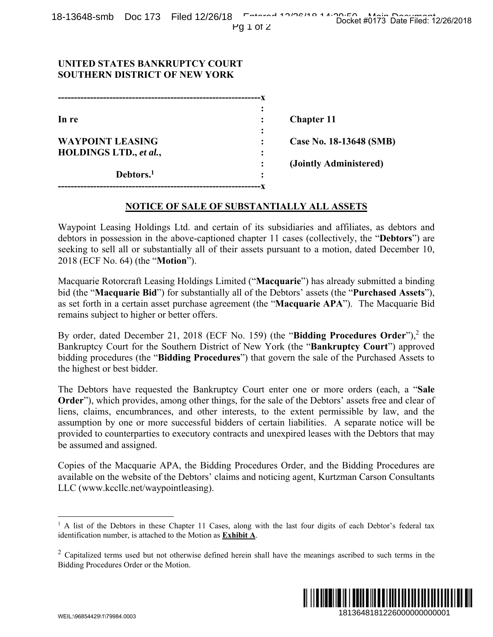# **UNITED STATES BANKRUPTCY COURT SOUTHERN DISTRICT OF NEW YORK**

| In re                   |           | <b>Chapter 11</b>       |
|-------------------------|-----------|-------------------------|
|                         | ٠         |                         |
| <b>WAYPOINT LEASING</b> |           | Case No. 18-13648 (SMB) |
| HOLDINGS LTD., et al.,  | ٠         |                         |
|                         | $\bullet$ | (Jointly Administered)  |
| Debtors. <sup>1</sup>   | ٠         |                         |
|                         |           |                         |

### **NOTICE OF SALE OF SUBSTANTIALLY ALL ASSETS**

Waypoint Leasing Holdings Ltd. and certain of its subsidiaries and affiliates, as debtors and debtors in possession in the above-captioned chapter 11 cases (collectively, the "**Debtors**") are seeking to sell all or substantially all of their assets pursuant to a motion, dated December 10, 2018 (ECF No. 64) (the "**Motion**").

Macquarie Rotorcraft Leasing Holdings Limited ("**Macquarie**") has already submitted a binding bid (the "**Macquarie Bid**") for substantially all of the Debtors' assets (the "**Purchased Assets**"), as set forth in a certain asset purchase agreement (the "**Macquarie APA**"). The Macquarie Bid remains subject to higher or better offers.

By order, dated December 21, 2018 (ECF No. 159) (the "**Bidding Procedures Order**"),<sup>2</sup> the Bankruptcy Court for the Southern District of New York (the "**Bankruptcy Court**") approved bidding procedures (the "**Bidding Procedures**") that govern the sale of the Purchased Assets to the highest or best bidder.

The Debtors have requested the Bankruptcy Court enter one or more orders (each, a "**Sale Order**"), which provides, among other things, for the sale of the Debtors' assets free and clear of liens, claims, encumbrances, and other interests, to the extent permissible by law, and the assumption by one or more successful bidders of certain liabilities. A separate notice will be provided to counterparties to executory contracts and unexpired leases with the Debtors that may be assumed and assigned. 1814848 (SMB)<br>
1813648 (SMB)<br>
2815648 (SMB)<br>
2815648 (SMB)<br>
2815648<br>
2826/2018<br>
28161<br>
2826/2018<br>
2826/2018<br>
2826/2018<br>
2826/2018<br>
2826/2018<br>
2826/2018<br>
2826/2018<br>
2826 Sasst Sread Clear of<br>
2926/2018<br>
2826 Sasst Sread Cl

Copies of the Macquarie APA, the Bidding Procedures Order, and the Bidding Procedures are available on the website of the Debtors' claims and noticing agent, Kurtzman Carson Consultants LLC (www.kccllc.net/waypointleasing).

 $2$  Capitalized terms used but not otherwise defined herein shall have the meanings ascribed to such terms in the Bidding Procedures Order or the Motion.



<u>.</u>

<sup>&</sup>lt;sup>1</sup> A list of the Debtors in these Chapter 11 Cases, along with the last four digits of each Debtor's federal tax identification number, is attached to the Motion as **Exhibit A**.